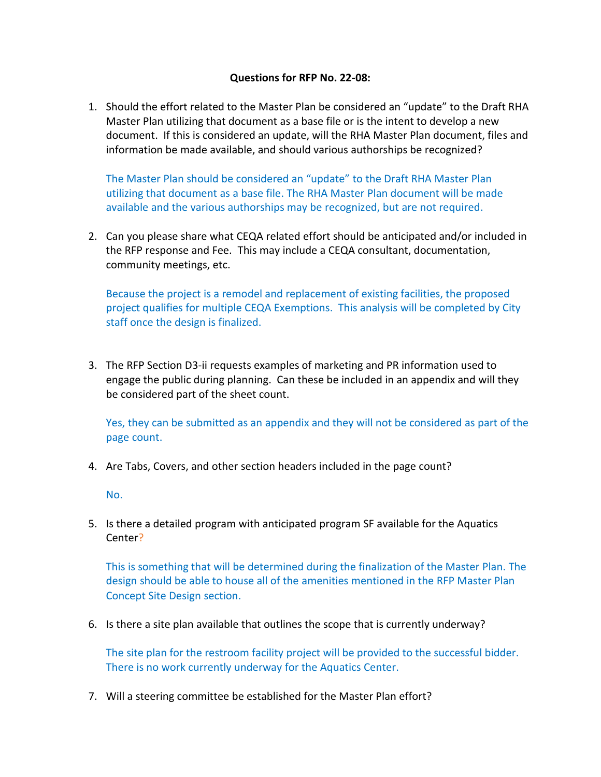## **Questions for RFP No. 22-08:**

1. Should the effort related to the Master Plan be considered an "update" to the Draft RHA Master Plan utilizing that document as a base file or is the intent to develop a new document. If this is considered an update, will the RHA Master Plan document, files and information be made available, and should various authorships be recognized?

The Master Plan should be considered an "update" to the Draft RHA Master Plan utilizing that document as a base file. The RHA Master Plan document will be made available and the various authorships may be recognized, but are not required.

2. Can you please share what CEQA related effort should be anticipated and/or included in the RFP response and Fee. This may include a CEQA consultant, documentation, community meetings, etc.

Because the project is a remodel and replacement of existing facilities, the proposed project qualifies for multiple CEQA Exemptions. This analysis will be completed by City staff once the design is finalized.

3. The RFP Section D3-ii requests examples of marketing and PR information used to engage the public during planning. Can these be included in an appendix and will they be considered part of the sheet count.

Yes, they can be submitted as an appendix and they will not be considered as part of the page count.

4. Are Tabs, Covers, and other section headers included in the page count?

No.

5. Is there a detailed program with anticipated program SF available for the Aquatics Center?

This is something that will be determined during the finalization of the Master Plan. The design should be able to house all of the amenities mentioned in the RFP Master Plan Concept Site Design section.

6. Is there a site plan available that outlines the scope that is currently underway?

The site plan for the restroom facility project will be provided to the successful bidder. There is no work currently underway for the Aquatics Center.

7. Will a steering committee be established for the Master Plan effort?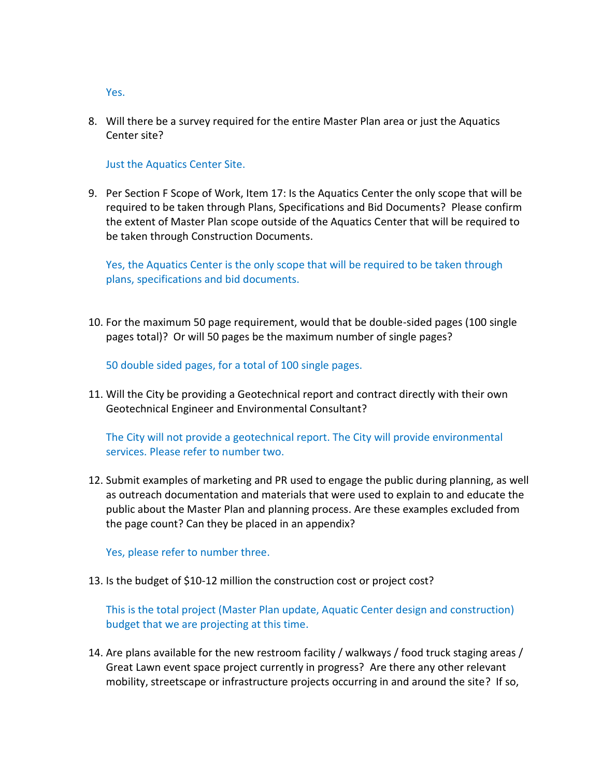Yes.

8. Will there be a survey required for the entire Master Plan area or just the Aquatics Center site?

## Just the Aquatics Center Site.

9. Per Section F Scope of Work, Item 17: Is the Aquatics Center the only scope that will be required to be taken through Plans, Specifications and Bid Documents? Please confirm the extent of Master Plan scope outside of the Aquatics Center that will be required to be taken through Construction Documents.

Yes, the Aquatics Center is the only scope that will be required to be taken through plans, specifications and bid documents.

10. For the maximum 50 page requirement, would that be double-sided pages (100 single pages total)? Or will 50 pages be the maximum number of single pages?

50 double sided pages, for a total of 100 single pages.

11. Will the City be providing a Geotechnical report and contract directly with their own Geotechnical Engineer and Environmental Consultant?

The City will not provide a geotechnical report. The City will provide environmental services. Please refer to number two.

12. Submit examples of marketing and PR used to engage the public during planning, as well as outreach documentation and materials that were used to explain to and educate the public about the Master Plan and planning process. Are these examples excluded from the page count? Can they be placed in an appendix?

Yes, please refer to number three.

13. Is the budget of \$10-12 million the construction cost or project cost?

This is the total project (Master Plan update, Aquatic Center design and construction) budget that we are projecting at this time.

14. Are plans available for the new restroom facility / walkways / food truck staging areas / Great Lawn event space project currently in progress? Are there any other relevant mobility, streetscape or infrastructure projects occurring in and around the site? If so,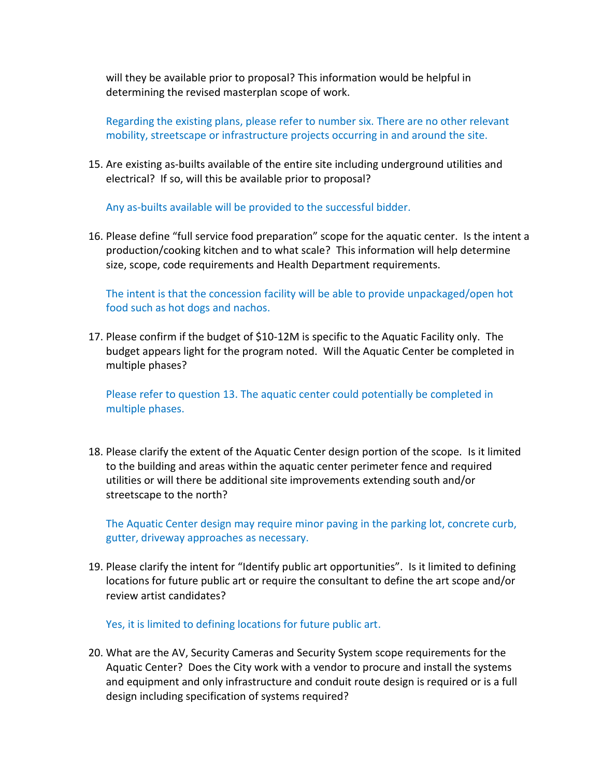will they be available prior to proposal? This information would be helpful in determining the revised masterplan scope of work.

Regarding the existing plans, please refer to number six. There are no other relevant mobility, streetscape or infrastructure projects occurring in and around the site.

15. Are existing as-builts available of the entire site including underground utilities and electrical? If so, will this be available prior to proposal?

Any as-builts available will be provided to the successful bidder.

16. Please define "full service food preparation" scope for the aquatic center. Is the intent a production/cooking kitchen and to what scale? This information will help determine size, scope, code requirements and Health Department requirements.

The intent is that the concession facility will be able to provide unpackaged/open hot food such as hot dogs and nachos.

17. Please confirm if the budget of \$10-12M is specific to the Aquatic Facility only. The budget appears light for the program noted. Will the Aquatic Center be completed in multiple phases?

Please refer to question 13. The aquatic center could potentially be completed in multiple phases.

18. Please clarify the extent of the Aquatic Center design portion of the scope. Is it limited to the building and areas within the aquatic center perimeter fence and required utilities or will there be additional site improvements extending south and/or streetscape to the north?

The Aquatic Center design may require minor paving in the parking lot, concrete curb, gutter, driveway approaches as necessary.

19. Please clarify the intent for "Identify public art opportunities". Is it limited to defining locations for future public art or require the consultant to define the art scope and/or review artist candidates?

Yes, it is limited to defining locations for future public art.

20. What are the AV, Security Cameras and Security System scope requirements for the Aquatic Center? Does the City work with a vendor to procure and install the systems and equipment and only infrastructure and conduit route design is required or is a full design including specification of systems required?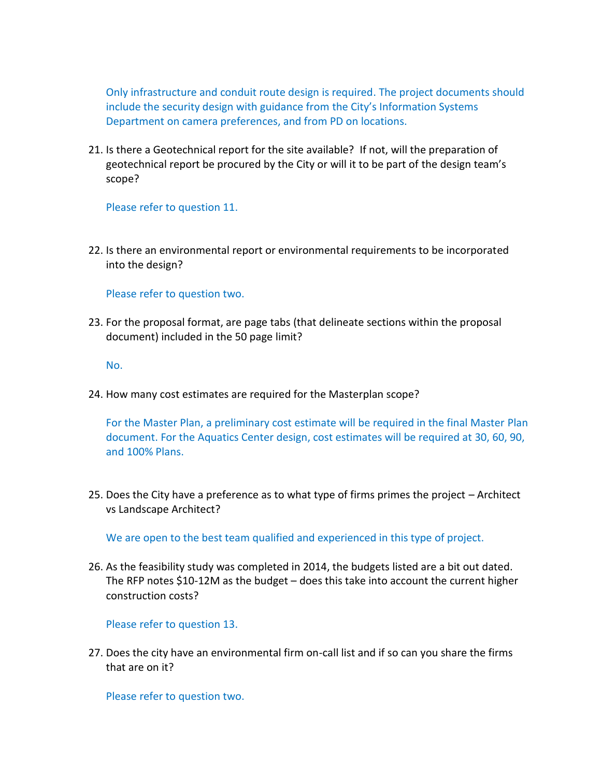Only infrastructure and conduit route design is required. The project documents should include the security design with guidance from the City's Information Systems Department on camera preferences, and from PD on locations.

21. Is there a Geotechnical report for the site available? If not, will the preparation of geotechnical report be procured by the City or will it to be part of the design team's scope?

Please refer to question 11.

22. Is there an environmental report or environmental requirements to be incorporated into the design?

Please refer to question two.

23. For the proposal format, are page tabs (that delineate sections within the proposal document) included in the 50 page limit?

No.

24. How many cost estimates are required for the Masterplan scope?

For the Master Plan, a preliminary cost estimate will be required in the final Master Plan document. For the Aquatics Center design, cost estimates will be required at 30, 60, 90, and 100% Plans.

25. Does the City have a preference as to what type of firms primes the project – Architect vs Landscape Architect?

We are open to the best team qualified and experienced in this type of project.

26. As the feasibility study was completed in 2014, the budgets listed are a bit out dated. The RFP notes \$10-12M as the budget – does this take into account the current higher construction costs?

Please refer to question 13.

27. Does the city have an environmental firm on-call list and if so can you share the firms that are on it?

Please refer to question two.